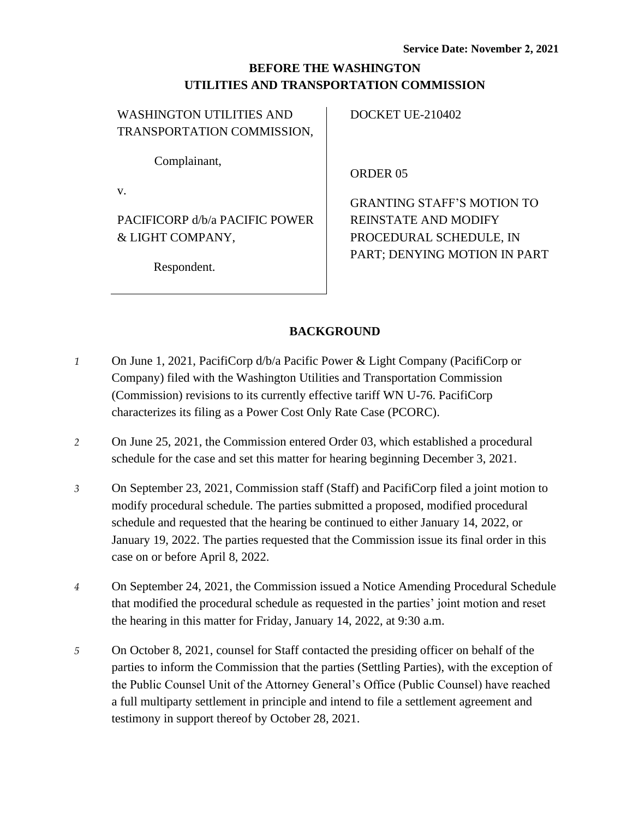# **BEFORE THE WASHINGTON UTILITIES AND TRANSPORTATION COMMISSION**

| WASHINGTON UTILITIES AND   |
|----------------------------|
| TRANSPORTATION COMMISSION, |

Complainant,

v.

PACIFICORP d/b/a PACIFIC POWER & LIGHT COMPANY,

Respondent.

DOCKET UE-210402

ORDER 05

GRANTING STAFF'S MOTION TO REINSTATE AND MODIFY PROCEDURAL SCHEDULE, IN PART; DENYING MOTION IN PART

## **BACKGROUND**

- *1* On June 1, 2021, PacifiCorp d/b/a Pacific Power & Light Company (PacifiCorp or Company) filed with the Washington Utilities and Transportation Commission (Commission) revisions to its currently effective tariff WN U-76. PacifiCorp characterizes its filing as a Power Cost Only Rate Case (PCORC).
- *2* On June 25, 2021, the Commission entered Order 03, which established a procedural schedule for the case and set this matter for hearing beginning December 3, 2021.
- *3* On September 23, 2021, Commission staff (Staff) and PacifiCorp filed a joint motion to modify procedural schedule. The parties submitted a proposed, modified procedural schedule and requested that the hearing be continued to either January 14, 2022, or January 19, 2022. The parties requested that the Commission issue its final order in this case on or before April 8, 2022.
- *4* On September 24, 2021, the Commission issued a Notice Amending Procedural Schedule that modified the procedural schedule as requested in the parties' joint motion and reset the hearing in this matter for Friday, January 14, 2022, at 9:30 a.m.
- *5* On October 8, 2021, counsel for Staff contacted the presiding officer on behalf of the parties to inform the Commission that the parties (Settling Parties), with the exception of the Public Counsel Unit of the Attorney General's Office (Public Counsel) have reached a full multiparty settlement in principle and intend to file a settlement agreement and testimony in support thereof by October 28, 2021.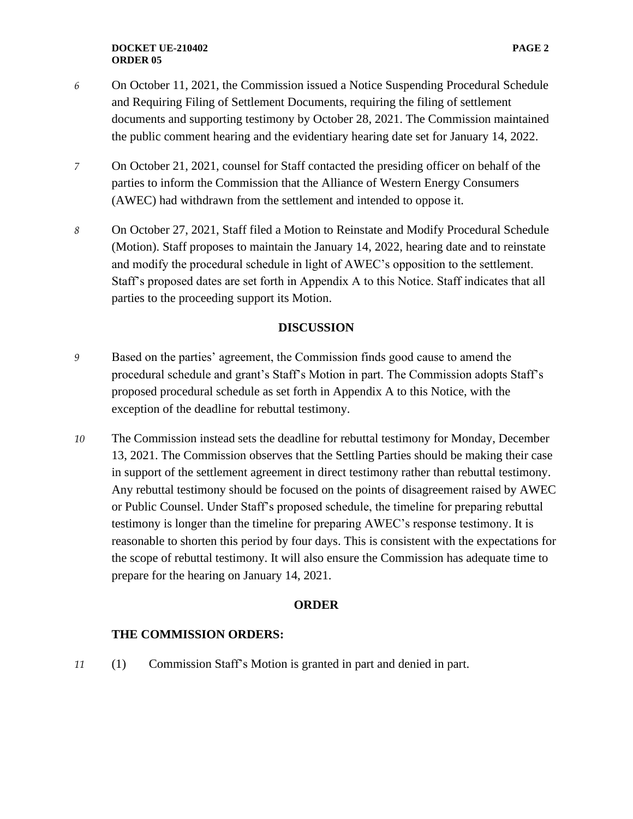- *6* On October 11, 2021, the Commission issued a Notice Suspending Procedural Schedule and Requiring Filing of Settlement Documents, requiring the filing of settlement documents and supporting testimony by October 28, 2021. The Commission maintained the public comment hearing and the evidentiary hearing date set for January 14, 2022.
- *7* On October 21, 2021, counsel for Staff contacted the presiding officer on behalf of the parties to inform the Commission that the Alliance of Western Energy Consumers (AWEC) had withdrawn from the settlement and intended to oppose it.
- *8* On October 27, 2021, Staff filed a Motion to Reinstate and Modify Procedural Schedule (Motion). Staff proposes to maintain the January 14, 2022, hearing date and to reinstate and modify the procedural schedule in light of AWEC's opposition to the settlement. Staff's proposed dates are set forth in Appendix A to this Notice. Staff indicates that all parties to the proceeding support its Motion.

### **DISCUSSION**

- *9* Based on the parties' agreement, the Commission finds good cause to amend the procedural schedule and grant's Staff's Motion in part. The Commission adopts Staff's proposed procedural schedule as set forth in Appendix A to this Notice, with the exception of the deadline for rebuttal testimony.
- *10* The Commission instead sets the deadline for rebuttal testimony for Monday, December 13, 2021. The Commission observes that the Settling Parties should be making their case in support of the settlement agreement in direct testimony rather than rebuttal testimony. Any rebuttal testimony should be focused on the points of disagreement raised by AWEC or Public Counsel. Under Staff's proposed schedule, the timeline for preparing rebuttal testimony is longer than the timeline for preparing AWEC's response testimony. It is reasonable to shorten this period by four days. This is consistent with the expectations for the scope of rebuttal testimony. It will also ensure the Commission has adequate time to prepare for the hearing on January 14, 2021.

#### **ORDER**

#### **THE COMMISSION ORDERS:**

*11* (1) Commission Staff's Motion is granted in part and denied in part.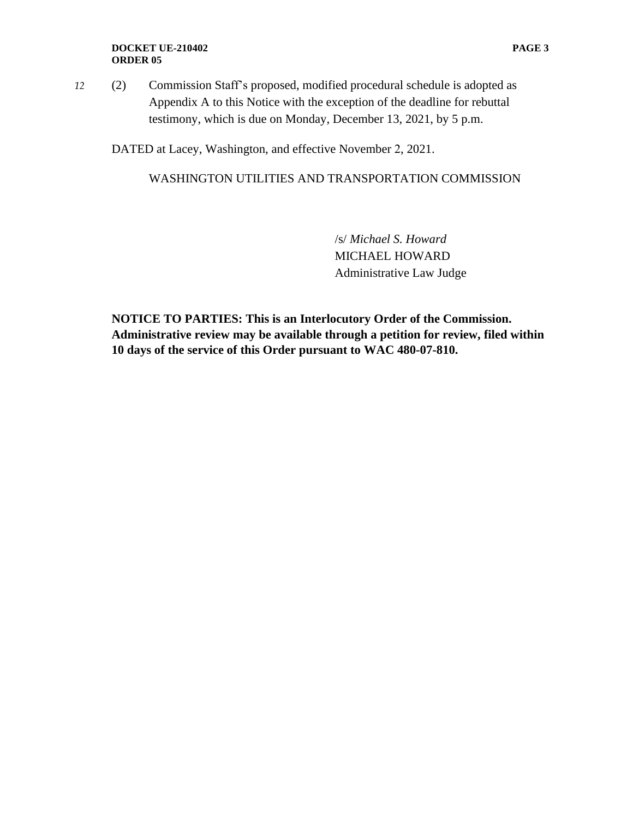#### **DOCKET UE-210402 PAGE 3 ORDER 05**

*12* (2) Commission Staff's proposed, modified procedural schedule is adopted as Appendix A to this Notice with the exception of the deadline for rebuttal testimony, which is due on Monday, December 13, 2021, by 5 p.m.

DATED at Lacey, Washington, and effective November 2, 2021.

### WASHINGTON UTILITIES AND TRANSPORTATION COMMISSION

/s/ *Michael S. Howard* MICHAEL HOWARD Administrative Law Judge

**NOTICE TO PARTIES: This is an Interlocutory Order of the Commission. Administrative review may be available through a petition for review, filed within 10 days of the service of this Order pursuant to WAC 480-07-810.**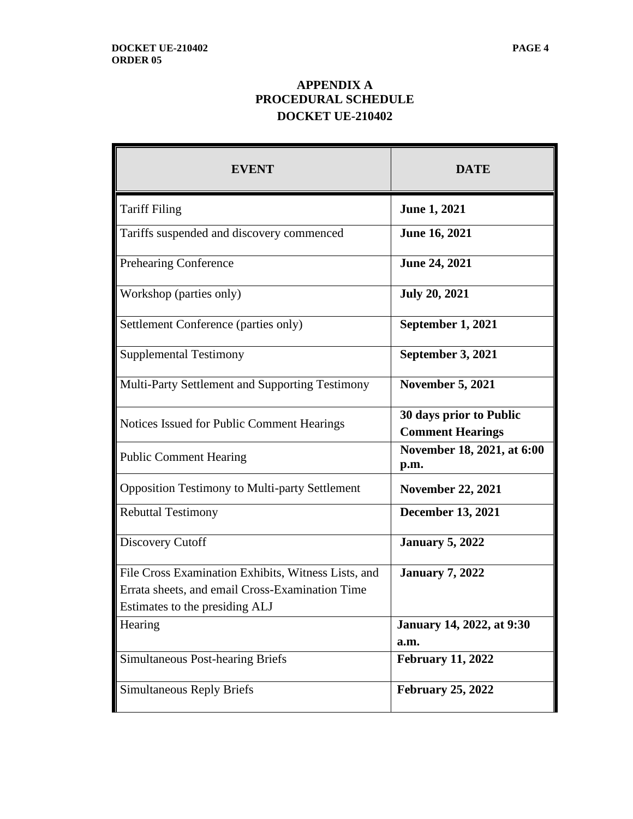# **APPENDIX A PROCEDURAL SCHEDULE DOCKET UE-210402**

| <b>EVENT</b>                                          | <b>DATE</b>                                        |
|-------------------------------------------------------|----------------------------------------------------|
| <b>Tariff Filing</b>                                  | <b>June 1, 2021</b>                                |
| Tariffs suspended and discovery commenced             | <b>June 16, 2021</b>                               |
| Prehearing Conference                                 | <b>June 24, 2021</b>                               |
| Workshop (parties only)                               | <b>July 20, 2021</b>                               |
| Settlement Conference (parties only)                  | September 1, 2021                                  |
| <b>Supplemental Testimony</b>                         | September 3, 2021                                  |
| Multi-Party Settlement and Supporting Testimony       | <b>November 5, 2021</b>                            |
| Notices Issued for Public Comment Hearings            | 30 days prior to Public<br><b>Comment Hearings</b> |
| <b>Public Comment Hearing</b>                         | November 18, 2021, at 6:00<br>p.m.                 |
| <b>Opposition Testimony to Multi-party Settlement</b> | <b>November 22, 2021</b>                           |
| <b>Rebuttal Testimony</b>                             | <b>December 13, 2021</b>                           |
| Discovery Cutoff                                      | <b>January 5, 2022</b>                             |
| File Cross Examination Exhibits, Witness Lists, and   | <b>January 7, 2022</b>                             |
| Errata sheets, and email Cross-Examination Time       |                                                    |
| Estimates to the presiding ALJ                        |                                                    |
| Hearing                                               | <b>January 14, 2022, at 9:30</b>                   |
|                                                       | a.m.                                               |
| <b>Simultaneous Post-hearing Briefs</b>               | <b>February 11, 2022</b>                           |
| <b>Simultaneous Reply Briefs</b>                      | <b>February 25, 2022</b>                           |